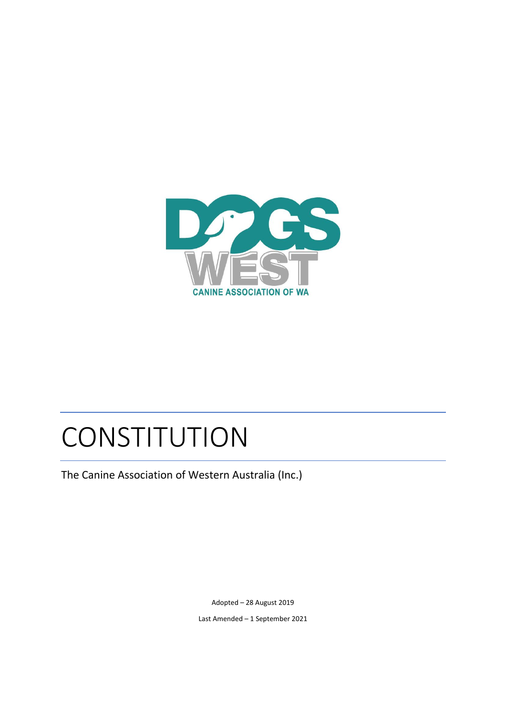

# CONSTITUTION

The Canine Association of Western Australia (Inc.)

Adopted – 28 August 2019

Last Amended – 1 September 2021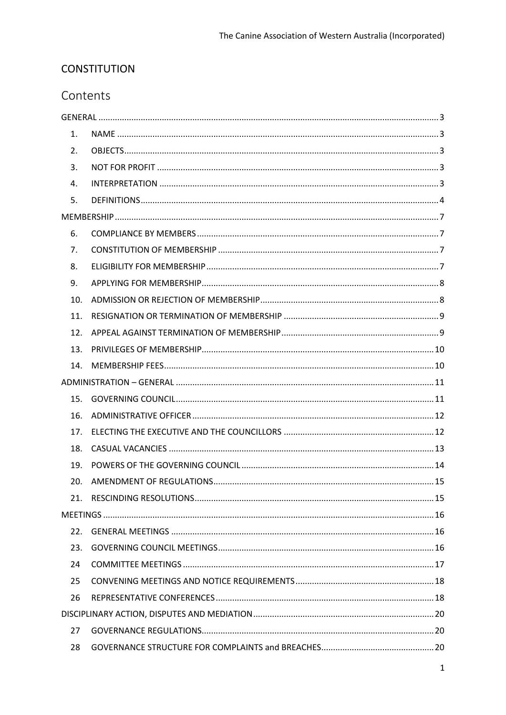# **CONSTITUTION**

# Contents

| 1.  |  |
|-----|--|
| 2.  |  |
| 3.  |  |
| 4.  |  |
| 5.  |  |
|     |  |
| 6.  |  |
| 7.  |  |
| 8.  |  |
| 9.  |  |
| 10. |  |
| 11. |  |
| 12. |  |
| 13. |  |
| 14. |  |
|     |  |
| 15. |  |
| 16. |  |
| 17. |  |
| 18. |  |
| 19. |  |
| 20. |  |
| 21. |  |
|     |  |
| 22. |  |
| 23. |  |
| 24  |  |
| 25  |  |
| 26  |  |
|     |  |
| 27  |  |
| 28  |  |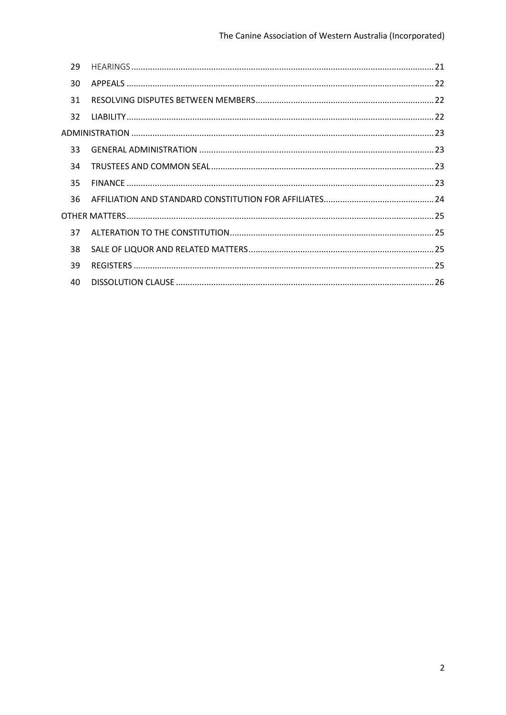| 29 |  |
|----|--|
| 30 |  |
| 31 |  |
| 32 |  |
|    |  |
| 33 |  |
| 34 |  |
| 35 |  |
| 36 |  |
|    |  |
| 37 |  |
| 38 |  |
| 39 |  |
| 40 |  |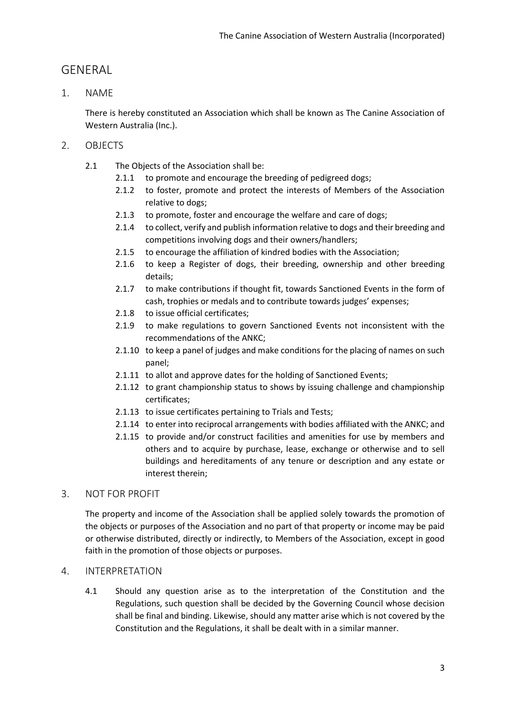# <span id="page-3-0"></span>GENERAL

<span id="page-3-1"></span>1. NAME

There is hereby constituted an Association which shall be known as The Canine Association of Western Australia (Inc.).

- <span id="page-3-2"></span>2. OBJECTS
	- 2.1 The Objects of the Association shall be:
		- 2.1.1 to promote and encourage the breeding of pedigreed dogs;
		- 2.1.2 to foster, promote and protect the interests of Members of the Association relative to dogs;
		- 2.1.3 to promote, foster and encourage the welfare and care of dogs;
		- 2.1.4 to collect, verify and publish information relative to dogs and their breeding and competitions involving dogs and their owners/handlers;
		- 2.1.5 to encourage the affiliation of kindred bodies with the Association;
		- 2.1.6 to keep a Register of dogs, their breeding, ownership and other breeding details;
		- 2.1.7 to make contributions if thought fit, towards Sanctioned Events in the form of cash, trophies or medals and to contribute towards judges' expenses;
		- 2.1.8 to issue official certificates;
		- 2.1.9 to make regulations to govern Sanctioned Events not inconsistent with the recommendations of the ANKC;
		- 2.1.10 to keep a panel of judges and make conditions for the placing of names on such panel;
		- 2.1.11 to allot and approve dates for the holding of Sanctioned Events;
		- 2.1.12 to grant championship status to shows by issuing challenge and championship certificates;
		- 2.1.13 to issue certificates pertaining to Trials and Tests;
		- 2.1.14 to enter into reciprocal arrangements with bodies affiliated with the ANKC; and
		- 2.1.15 to provide and/or construct facilities and amenities for use by members and others and to acquire by purchase, lease, exchange or otherwise and to sell buildings and hereditaments of any tenure or description and any estate or interest therein;

# <span id="page-3-3"></span>3. NOT FOR PROFIT

The property and income of the Association shall be applied solely towards the promotion of the objects or purposes of the Association and no part of that property or income may be paid or otherwise distributed, directly or indirectly, to Members of the Association, except in good faith in the promotion of those objects or purposes.

#### <span id="page-3-4"></span>4. INTERPRETATION

4.1 Should any question arise as to the interpretation of the Constitution and the Regulations, such question shall be decided by the Governing Council whose decision shall be final and binding. Likewise, should any matter arise which is not covered by the Constitution and the Regulations, it shall be dealt with in a similar manner.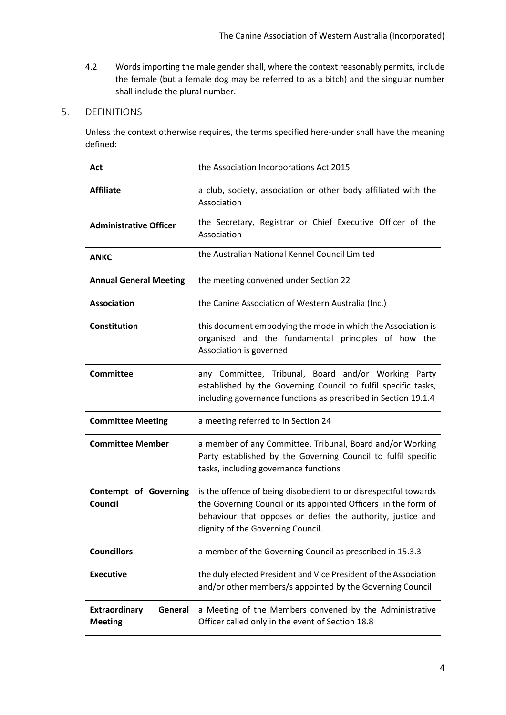4.2 Words importing the male gender shall, where the context reasonably permits, include the female (but a female dog may be referred to as a bitch) and the singular number shall include the plural number.

# <span id="page-4-0"></span>5. DEFINITIONS

Unless the context otherwise requires, the terms specified here-under shall have the meaning defined:

| Act                                               | the Association Incorporations Act 2015                                                                                                                                                                                               |
|---------------------------------------------------|---------------------------------------------------------------------------------------------------------------------------------------------------------------------------------------------------------------------------------------|
| <b>Affiliate</b>                                  | a club, society, association or other body affiliated with the<br>Association                                                                                                                                                         |
| <b>Administrative Officer</b>                     | the Secretary, Registrar or Chief Executive Officer of the<br>Association                                                                                                                                                             |
| <b>ANKC</b>                                       | the Australian National Kennel Council Limited                                                                                                                                                                                        |
| <b>Annual General Meeting</b>                     | the meeting convened under Section 22                                                                                                                                                                                                 |
| <b>Association</b>                                | the Canine Association of Western Australia (Inc.)                                                                                                                                                                                    |
| Constitution                                      | this document embodying the mode in which the Association is<br>organised and the fundamental principles of how the<br>Association is governed                                                                                        |
| <b>Committee</b>                                  | any Committee, Tribunal, Board and/or Working Party<br>established by the Governing Council to fulfil specific tasks,<br>including governance functions as prescribed in Section 19.1.4                                               |
| <b>Committee Meeting</b>                          | a meeting referred to in Section 24                                                                                                                                                                                                   |
| <b>Committee Member</b>                           | a member of any Committee, Tribunal, Board and/or Working<br>Party established by the Governing Council to fulfil specific<br>tasks, including governance functions                                                                   |
| <b>Contempt of Governing</b><br>Council           | is the offence of being disobedient to or disrespectful towards<br>the Governing Council or its appointed Officers in the form of<br>behaviour that opposes or defies the authority, justice and<br>dignity of the Governing Council. |
| <b>Councillors</b>                                | a member of the Governing Council as prescribed in 15.3.3                                                                                                                                                                             |
| <b>Executive</b>                                  | the duly elected President and Vice President of the Association<br>and/or other members/s appointed by the Governing Council                                                                                                         |
| <b>Extraordinary</b><br>General<br><b>Meeting</b> | a Meeting of the Members convened by the Administrative<br>Officer called only in the event of Section 18.8                                                                                                                           |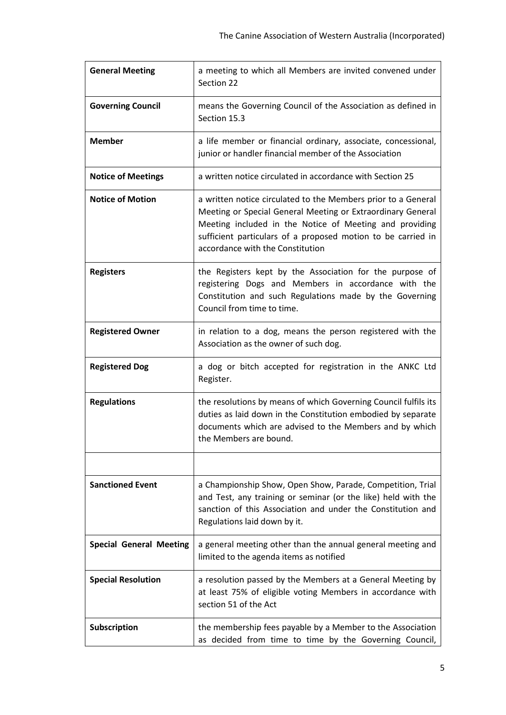| <b>General Meeting</b>         | a meeting to which all Members are invited convened under<br>Section 22                                                                                                                                                                                                                     |
|--------------------------------|---------------------------------------------------------------------------------------------------------------------------------------------------------------------------------------------------------------------------------------------------------------------------------------------|
| <b>Governing Council</b>       | means the Governing Council of the Association as defined in<br>Section 15.3                                                                                                                                                                                                                |
| <b>Member</b>                  | a life member or financial ordinary, associate, concessional,<br>junior or handler financial member of the Association                                                                                                                                                                      |
| <b>Notice of Meetings</b>      | a written notice circulated in accordance with Section 25                                                                                                                                                                                                                                   |
| <b>Notice of Motion</b>        | a written notice circulated to the Members prior to a General<br>Meeting or Special General Meeting or Extraordinary General<br>Meeting included in the Notice of Meeting and providing<br>sufficient particulars of a proposed motion to be carried in<br>accordance with the Constitution |
| <b>Registers</b>               | the Registers kept by the Association for the purpose of<br>registering Dogs and Members in accordance with the<br>Constitution and such Regulations made by the Governing<br>Council from time to time.                                                                                    |
| <b>Registered Owner</b>        | in relation to a dog, means the person registered with the<br>Association as the owner of such dog.                                                                                                                                                                                         |
| <b>Registered Dog</b>          | a dog or bitch accepted for registration in the ANKC Ltd<br>Register.                                                                                                                                                                                                                       |
| <b>Regulations</b>             | the resolutions by means of which Governing Council fulfils its<br>duties as laid down in the Constitution embodied by separate<br>documents which are advised to the Members and by which<br>the Members are bound.                                                                        |
|                                |                                                                                                                                                                                                                                                                                             |
| <b>Sanctioned Event</b>        | a Championship Show, Open Show, Parade, Competition, Trial<br>and Test, any training or seminar (or the like) held with the<br>sanction of this Association and under the Constitution and<br>Regulations laid down by it.                                                                  |
| <b>Special General Meeting</b> | a general meeting other than the annual general meeting and<br>limited to the agenda items as notified                                                                                                                                                                                      |
| <b>Special Resolution</b>      | a resolution passed by the Members at a General Meeting by<br>at least 75% of eligible voting Members in accordance with<br>section 51 of the Act                                                                                                                                           |
| Subscription                   | the membership fees payable by a Member to the Association<br>as decided from time to time by the Governing Council,                                                                                                                                                                        |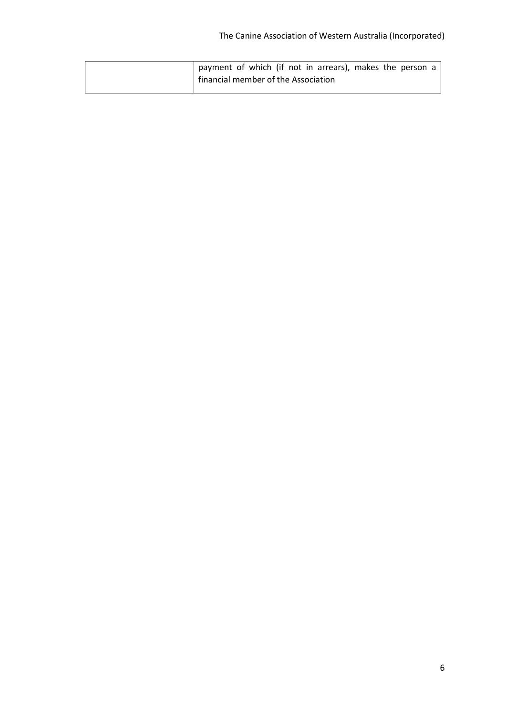| payment of which (if not in arrears), makes the person a |
|----------------------------------------------------------|
| financial member of the Association                      |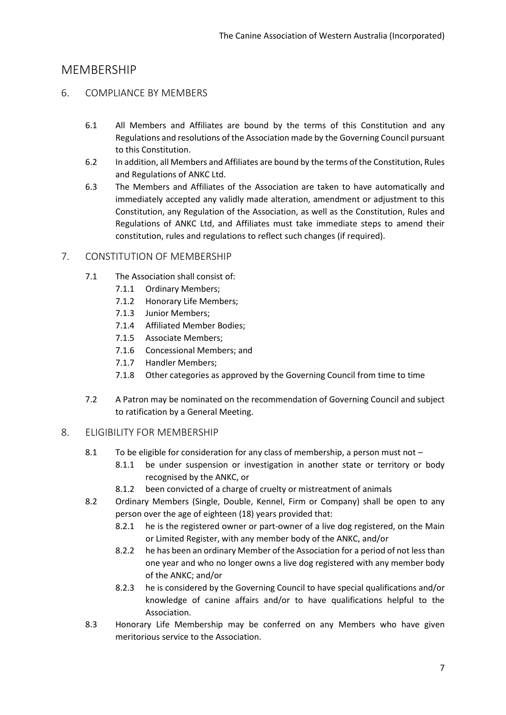# <span id="page-7-0"></span>**MEMBERSHIP**

# <span id="page-7-1"></span>6. COMPLIANCE BY MEMBERS

- 6.1 All Members and Affiliates are bound by the terms of this Constitution and any Regulations and resolutions of the Association made by the Governing Council pursuant to this Constitution.
- 6.2 In addition, all Members and Affiliates are bound by the terms of the Constitution, Rules and Regulations of ANKC Ltd.
- 6.3 The Members and Affiliates of the Association are taken to have automatically and immediately accepted any validly made alteration, amendment or adjustment to this Constitution, any Regulation of the Association, as well as the Constitution, Rules and Regulations of ANKC Ltd, and Affiliates must take immediate steps to amend their constitution, rules and regulations to reflect such changes (if required).

## <span id="page-7-2"></span>7. CONSTITUTION OF MEMBERSHIP

- 7.1 The Association shall consist of:
	- 7.1.1 Ordinary Members;
	- 7.1.2 Honorary Life Members;
	- 7.1.3 Junior Members;
	- 7.1.4 Affiliated Member Bodies;
	- 7.1.5 Associate Members;
	- 7.1.6 Concessional Members; and
	- 7.1.7 Handler Members;
	- 7.1.8 Other categories as approved by the Governing Council from time to time
- 7.2 A Patron may be nominated on the recommendation of Governing Council and subject to ratification by a General Meeting.

#### <span id="page-7-3"></span>8. ELIGIBILITY FOR MEMBERSHIP

- 8.1 To be eligible for consideration for any class of membership, a person must not
	- 8.1.1 be under suspension or investigation in another state or territory or body recognised by the ANKC, or
	- 8.1.2 been convicted of a charge of cruelty or mistreatment of animals
- 8.2 Ordinary Members (Single, Double, Kennel, Firm or Company) shall be open to any person over the age of eighteen (18) years provided that:
	- 8.2.1 he is the registered owner or part-owner of a live dog registered, on the Main or Limited Register, with any member body of the ANKC, and/or
	- 8.2.2 he has been an ordinary Member of the Association for a period of not less than one year and who no longer owns a live dog registered with any member body of the ANKC; and/or
	- 8.2.3 he is considered by the Governing Council to have special qualifications and/or knowledge of canine affairs and/or to have qualifications helpful to the Association.
- 8.3 Honorary Life Membership may be conferred on any Members who have given meritorious service to the Association.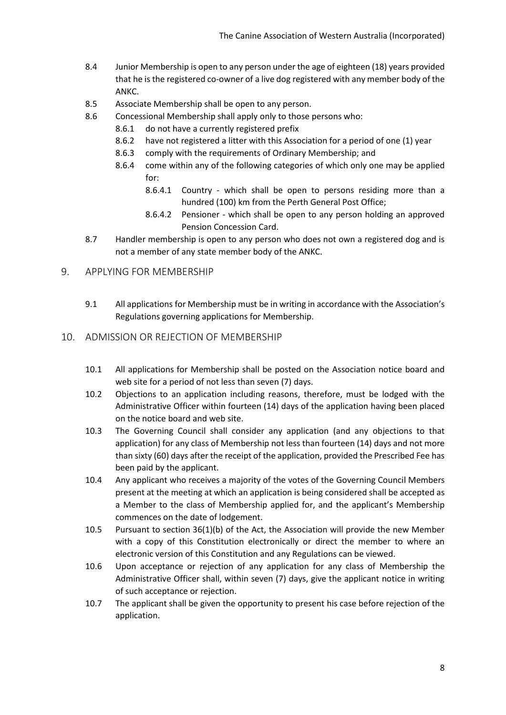- 8.4 Junior Membership is open to any person under the age of eighteen (18) years provided that he isthe registered co-owner of a live dog registered with any member body of the ANKC.
- 8.5 Associate Membership shall be open to any person.
- 8.6 Concessional Membership shall apply only to those persons who:
	- 8.6.1 do not have a currently registered prefix
	- 8.6.2 have not registered a litter with this Association for a period of one (1) year
	- 8.6.3 comply with the requirements of Ordinary Membership; and
	- 8.6.4 come within any of the following categories of which only one may be applied for:
		- 8.6.4.1 Country which shall be open to persons residing more than a hundred (100) km from the Perth General Post Office;
		- 8.6.4.2 Pensioner which shall be open to any person holding an approved Pension Concession Card.
- 8.7 Handler membership is open to any person who does not own a registered dog and is not a member of any state member body of the ANKC.

#### <span id="page-8-0"></span>9. APPLYING FOR MEMBERSHIP

9.1 All applications for Membership must be in writing in accordance with the Association's Regulations governing applications for Membership.

## <span id="page-8-1"></span>10. ADMISSION OR REJECTION OF MEMBERSHIP

- 10.1 All applications for Membership shall be posted on the Association notice board and web site for a period of not less than seven (7) days.
- 10.2 Objections to an application including reasons, therefore, must be lodged with the Administrative Officer within fourteen (14) days of the application having been placed on the notice board and web site.
- 10.3 The Governing Council shall consider any application (and any objections to that application) for any class of Membership not less than fourteen (14) days and not more than sixty (60) days after the receipt of the application, provided the Prescribed Fee has been paid by the applicant.
- 10.4 Any applicant who receives a majority of the votes of the Governing Council Members present at the meeting at which an application is being considered shall be accepted as a Member to the class of Membership applied for, and the applicant's Membership commences on the date of lodgement.
- 10.5 Pursuant to section 36(1)(b) of the Act, the Association will provide the new Member with a copy of this Constitution electronically or direct the member to where an electronic version of this Constitution and any Regulations can be viewed.
- 10.6 Upon acceptance or rejection of any application for any class of Membership the Administrative Officer shall, within seven (7) days, give the applicant notice in writing of such acceptance or rejection.
- 10.7 The applicant shall be given the opportunity to present his case before rejection of the application.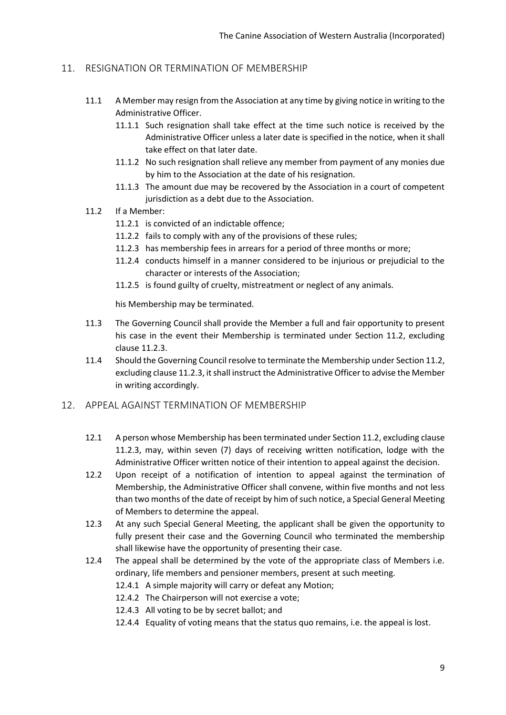## <span id="page-9-0"></span>11. RESIGNATION OR TERMINATION OF MEMBERSHIP

- 11.1 A Member may resign from the Association at any time by giving notice in writing to the Administrative Officer.
	- 11.1.1 Such resignation shall take effect at the time such notice is received by the Administrative Officer unless a later date is specified in the notice, when it shall take effect on that later date.
	- 11.1.2 No such resignation shall relieve any member from payment of any monies due by him to the Association at the date of his resignation.
	- 11.1.3 The amount due may be recovered by the Association in a court of competent jurisdiction as a debt due to the Association.
- 11.2 If a Member:
	- 11.2.1 is convicted of an indictable offence;
	- 11.2.2 fails to comply with any of the provisions of these rules;
	- 11.2.3 has membership fees in arrears for a period of three months or more;
	- 11.2.4 conducts himself in a manner considered to be injurious or prejudicial to the character or interests of the Association;
	- 11.2.5 is found guilty of cruelty, mistreatment or neglect of any animals.

his Membership may be terminated.

- 11.3 The Governing Council shall provide the Member a full and fair opportunity to present his case in the event their Membership is terminated under Section 11.2, excluding clause 11.2.3.
- 11.4 Should the Governing Council resolve to terminate the Membership under Section 11.2, excluding clause 11.2.3, it shall instruct the Administrative Officer to advise the Member in writing accordingly.

#### <span id="page-9-1"></span>12. APPEAL AGAINST TERMINATION OF MEMBERSHIP

- 12.1 A person whose Membership has been terminated under Section 11.2, excluding clause 11.2.3, may, within seven (7) days of receiving written notification, lodge with the Administrative Officer written notice of their intention to appeal against the decision.
- 12.2 Upon receipt of a notification of intention to appeal against the termination of Membership, the Administrative Officer shall convene, within five months and not less than two months of the date of receipt by him of such notice, a Special General Meeting of Members to determine the appeal.
- 12.3 At any such Special General Meeting, the applicant shall be given the opportunity to fully present their case and the Governing Council who terminated the membership shall likewise have the opportunity of presenting their case.
- 12.4 The appeal shall be determined by the vote of the appropriate class of Members i.e. ordinary, life members and pensioner members, present at such meeting.
	- 12.4.1 A simple majority will carry or defeat any Motion;
	- 12.4.2 The Chairperson will not exercise a vote;
	- 12.4.3 All voting to be by secret ballot; and
	- 12.4.4 Equality of voting means that the status quo remains, i.e. the appeal is lost.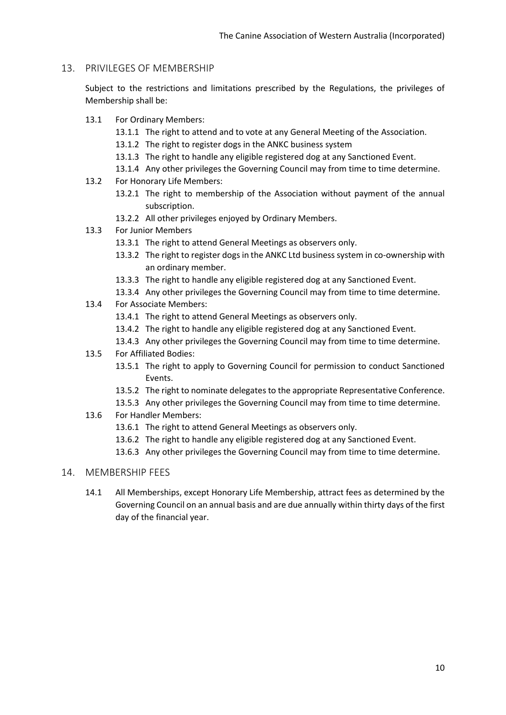#### <span id="page-10-0"></span>13. PRIVILEGES OF MEMBERSHIP

Subject to the restrictions and limitations prescribed by the Regulations, the privileges of Membership shall be:

- 13.1 For Ordinary Members:
	- 13.1.1 The right to attend and to vote at any General Meeting of the Association.
	- 13.1.2 The right to register dogs in the ANKC business system
	- 13.1.3 The right to handle any eligible registered dog at any Sanctioned Event.
	- 13.1.4 Any other privileges the Governing Council may from time to time determine.
- 13.2 For Honorary Life Members:
	- 13.2.1 The right to membership of the Association without payment of the annual subscription.
	- 13.2.2 All other privileges enjoyed by Ordinary Members.
- 13.3 For Junior Members
	- 13.3.1 The right to attend General Meetings as observers only.
	- 13.3.2 The right to register dogs in the ANKC Ltd business system in co-ownership with an ordinary member.
	- 13.3.3 The right to handle any eligible registered dog at any Sanctioned Event.
	- 13.3.4 Any other privileges the Governing Council may from time to time determine.
- 13.4 For Associate Members:
	- 13.4.1 The right to attend General Meetings as observers only.
	- 13.4.2 The right to handle any eligible registered dog at any Sanctioned Event.
	- 13.4.3 Any other privileges the Governing Council may from time to time determine.
- 13.5 For Affiliated Bodies:
	- 13.5.1 The right to apply to Governing Council for permission to conduct Sanctioned Events.
	- 13.5.2 The right to nominate delegates to the appropriate Representative Conference.
	- 13.5.3 Any other privileges the Governing Council may from time to time determine.
- 13.6 For Handler Members:
	- 13.6.1 The right to attend General Meetings as observers only.
	- 13.6.2 The right to handle any eligible registered dog at any Sanctioned Event.
	- 13.6.3 Any other privileges the Governing Council may from time to time determine.

#### <span id="page-10-1"></span>14. MEMBERSHIP FEES

14.1 All Memberships, except Honorary Life Membership, attract fees as determined by the Governing Council on an annual basis and are due annually within thirty days of the first day of the financial year.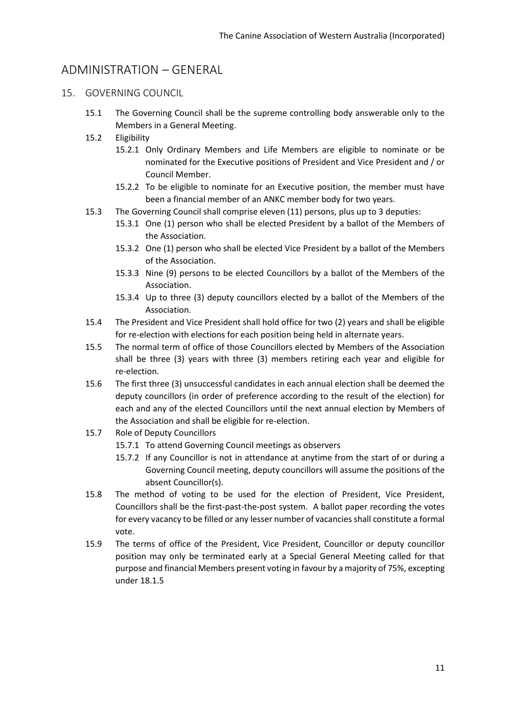# <span id="page-11-0"></span>ADMINISTRATION – GENERAL

- <span id="page-11-1"></span>15. GOVERNING COUNCIL
	- 15.1 The Governing Council shall be the supreme controlling body answerable only to the Members in a General Meeting.
	- 15.2 Eligibility
		- 15.2.1 Only Ordinary Members and Life Members are eligible to nominate or be nominated for the Executive positions of President and Vice President and / or Council Member.
		- 15.2.2 To be eligible to nominate for an Executive position, the member must have been a financial member of an ANKC member body for two years.
	- 15.3 The Governing Council shall comprise eleven (11) persons, plus up to 3 deputies:
		- 15.3.1 One (1) person who shall be elected President by a ballot of the Members of the Association.
		- 15.3.2 One (1) person who shall be elected Vice President by a ballot of the Members of the Association.
		- 15.3.3 Nine (9) persons to be elected Councillors by a ballot of the Members of the Association.
		- 15.3.4 Up to three (3) deputy councillors elected by a ballot of the Members of the Association.
	- 15.4 The President and Vice President shall hold office for two (2) years and shall be eligible for re-election with elections for each position being held in alternate years.
	- 15.5 The normal term of office of those Councillors elected by Members of the Association shall be three (3) years with three (3) members retiring each year and eligible for re-election.
	- 15.6 The first three (3) unsuccessful candidates in each annual election shall be deemed the deputy councillors (in order of preference according to the result of the election) for each and any of the elected Councillors until the next annual election by Members of the Association and shall be eligible for re-election.
	- 15.7 Role of Deputy Councillors
		- 15.7.1 To attend Governing Council meetings as observers
		- 15.7.2 If any Councillor is not in attendance at anytime from the start of or during a Governing Council meeting, deputy councillors will assume the positions of the absent Councillor(s).
	- 15.8 The method of voting to be used for the election of President, Vice President, Councillors shall be the first-past-the-post system. A ballot paper recording the votes for every vacancy to be filled or any lesser number of vacancies shall constitute a formal vote.
	- 15.9 The terms of office of the President, Vice President, Councillor or deputy councillor position may only be terminated early at a Special General Meeting called for that purpose and financial Members present voting in favour by a majority of 75%, excepting under 18.1.5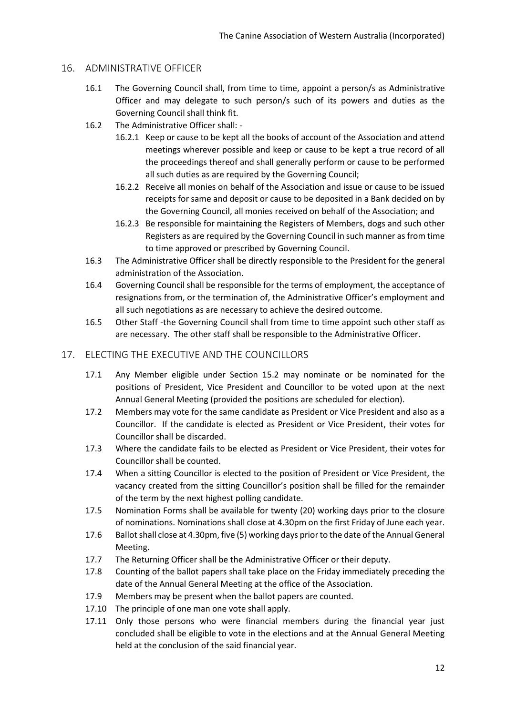#### <span id="page-12-0"></span>16. ADMINISTRATIVE OFFICER

- 16.1 The Governing Council shall, from time to time, appoint a person/s as Administrative Officer and may delegate to such person/s such of its powers and duties as the Governing Council shall think fit.
- 16.2 The Administrative Officer shall:
	- 16.2.1 Keep or cause to be kept all the books of account of the Association and attend meetings wherever possible and keep or cause to be kept a true record of all the proceedings thereof and shall generally perform or cause to be performed all such duties as are required by the Governing Council;
	- 16.2.2 Receive all monies on behalf of the Association and issue or cause to be issued receipts for same and deposit or cause to be deposited in a Bank decided on by the Governing Council, all monies received on behalf of the Association; and
	- 16.2.3 Be responsible for maintaining the Registers of Members, dogs and such other Registers as are required by the Governing Council in such manner as from time to time approved or prescribed by Governing Council.
- 16.3 The Administrative Officer shall be directly responsible to the President for the general administration of the Association.
- 16.4 Governing Council shall be responsible for the terms of employment, the acceptance of resignations from, or the termination of, the Administrative Officer's employment and all such negotiations as are necessary to achieve the desired outcome.
- 16.5 Other Staff -the Governing Council shall from time to time appoint such other staff as are necessary. The other staff shall be responsible to the Administrative Officer.

# <span id="page-12-1"></span>17. ELECTING THE EXECUTIVE AND THE COUNCILLORS

- 17.1 Any Member eligible under Section 15.2 may nominate or be nominated for the positions of President, Vice President and Councillor to be voted upon at the next Annual General Meeting (provided the positions are scheduled for election).
- 17.2 Members may vote for the same candidate as President or Vice President and also as a Councillor. If the candidate is elected as President or Vice President, their votes for Councillor shall be discarded.
- 17.3 Where the candidate fails to be elected as President or Vice President, their votes for Councillor shall be counted.
- 17.4 When a sitting Councillor is elected to the position of President or Vice President, the vacancy created from the sitting Councillor's position shall be filled for the remainder of the term by the next highest polling candidate.
- 17.5 Nomination Forms shall be available for twenty (20) working days prior to the closure of nominations. Nominations shall close at 4.30pm on the first Friday of June each year.
- 17.6 Ballot shall close at 4.30pm, five (5) working days prior to the date of the Annual General Meeting.
- 17.7 The Returning Officer shall be the Administrative Officer or their deputy.
- 17.8 Counting of the ballot papers shall take place on the Friday immediately preceding the date of the Annual General Meeting at the office of the Association.
- 17.9 Members may be present when the ballot papers are counted.
- 17.10 The principle of one man one vote shall apply.
- 17.11 Only those persons who were financial members during the financial year just concluded shall be eligible to vote in the elections and at the Annual General Meeting held at the conclusion of the said financial year.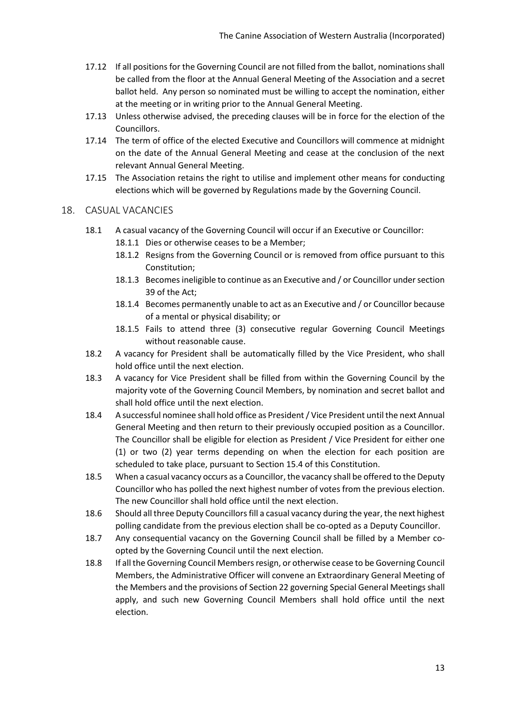- 17.12 If all positions for the Governing Council are not filled from the ballot, nominations shall be called from the floor at the Annual General Meeting of the Association and a secret ballot held. Any person so nominated must be willing to accept the nomination, either at the meeting or in writing prior to the Annual General Meeting.
- 17.13 Unless otherwise advised, the preceding clauses will be in force for the election of the Councillors.
- 17.14 The term of office of the elected Executive and Councillors will commence at midnight on the date of the Annual General Meeting and cease at the conclusion of the next relevant Annual General Meeting.
- 17.15 The Association retains the right to utilise and implement other means for conducting elections which will be governed by Regulations made by the Governing Council.

#### <span id="page-13-0"></span>18. CASUAL VACANCIES

- 18.1 A casual vacancy of the Governing Council will occur if an Executive or Councillor:
	- 18.1.1 Dies or otherwise ceases to be a Member;
	- 18.1.2 Resigns from the Governing Council or is removed from office pursuant to this Constitution;
	- 18.1.3 Becomes ineligible to continue as an Executive and / or Councillor under section 39 of the Act;
	- 18.1.4 Becomes permanently unable to act as an Executive and / or Councillor because of a mental or physical disability; or
	- 18.1.5 Fails to attend three (3) consecutive regular Governing Council Meetings without reasonable cause.
- 18.2 A vacancy for President shall be automatically filled by the Vice President, who shall hold office until the next election.
- 18.3 A vacancy for Vice President shall be filled from within the Governing Council by the majority vote of the Governing Council Members, by nomination and secret ballot and shall hold office until the next election.
- 18.4 A successful nominee shall hold office as President / Vice President until the next Annual General Meeting and then return to their previously occupied position as a Councillor. The Councillor shall be eligible for election as President / Vice President for either one (1) or two (2) year terms depending on when the election for each position are scheduled to take place, pursuant to Section 15.4 of this Constitution.
- 18.5 When a casual vacancy occurs as a Councillor, the vacancy shall be offered to the Deputy Councillor who has polled the next highest number of votes from the previous election. The new Councillor shall hold office until the next election.
- 18.6 Should all three Deputy Councillors fill a casual vacancy during the year, the next highest polling candidate from the previous election shall be co-opted as a Deputy Councillor.
- 18.7 Any consequential vacancy on the Governing Council shall be filled by a Member coopted by the Governing Council until the next election.
- 18.8 If all the Governing Council Membersresign, or otherwise cease to be Governing Council Members, the Administrative Officer will convene an Extraordinary General Meeting of the Members and the provisions of Section 22 governing Special General Meetings shall apply, and such new Governing Council Members shall hold office until the next election.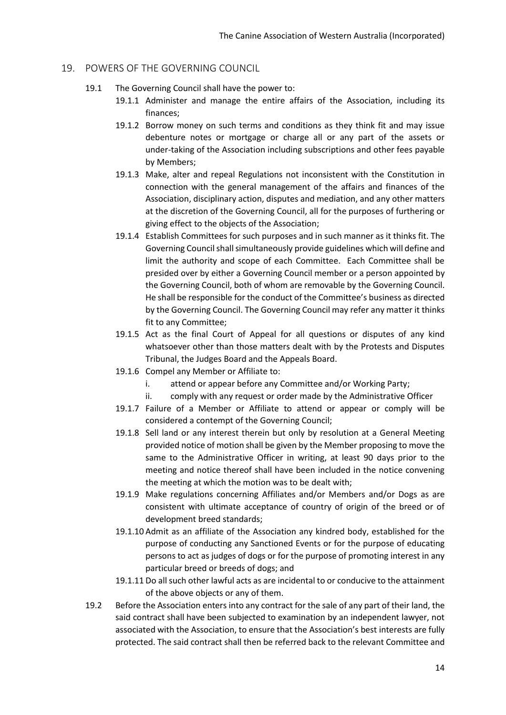#### <span id="page-14-0"></span>19. POWERS OF THE GOVERNING COUNCIL

- 19.1 The Governing Council shall have the power to:
	- 19.1.1 Administer and manage the entire affairs of the Association, including its finances;
	- 19.1.2 Borrow money on such terms and conditions as they think fit and may issue debenture notes or mortgage or charge all or any part of the assets or under-taking of the Association including subscriptions and other fees payable by Members;
	- 19.1.3 Make, alter and repeal Regulations not inconsistent with the Constitution in connection with the general management of the affairs and finances of the Association, disciplinary action, disputes and mediation, and any other matters at the discretion of the Governing Council, all for the purposes of furthering or giving effect to the objects of the Association;
	- 19.1.4 Establish Committees for such purposes and in such manner as it thinks fit. The Governing Council shall simultaneously provide guidelines which will define and limit the authority and scope of each Committee. Each Committee shall be presided over by either a Governing Council member or a person appointed by the Governing Council, both of whom are removable by the Governing Council. He shall be responsible for the conduct of the Committee's business as directed by the Governing Council. The Governing Council may refer any matter it thinks fit to any Committee;
	- 19.1.5 Act as the final Court of Appeal for all questions or disputes of any kind whatsoever other than those matters dealt with by the Protests and Disputes Tribunal, the Judges Board and the Appeals Board.
	- 19.1.6 Compel any Member or Affiliate to:
		- i. attend or appear before any Committee and/or Working Party;
		- ii. comply with any request or order made by the Administrative Officer
	- 19.1.7 Failure of a Member or Affiliate to attend or appear or comply will be considered a contempt of the Governing Council;
	- 19.1.8 Sell land or any interest therein but only by resolution at a General Meeting provided notice of motion shall be given by the Member proposing to move the same to the Administrative Officer in writing, at least 90 days prior to the meeting and notice thereof shall have been included in the notice convening the meeting at which the motion was to be dealt with;
	- 19.1.9 Make regulations concerning Affiliates and/or Members and/or Dogs as are consistent with ultimate acceptance of country of origin of the breed or of development breed standards;
	- 19.1.10 Admit as an affiliate of the Association any kindred body, established for the purpose of conducting any Sanctioned Events or for the purpose of educating persons to act as judges of dogs or for the purpose of promoting interest in any particular breed or breeds of dogs; and
	- 19.1.11 Do all such other lawful acts as are incidental to or conducive to the attainment of the above objects or any of them.
- 19.2 Before the Association enters into any contract for the sale of any part of their land, the said contract shall have been subjected to examination by an independent lawyer, not associated with the Association, to ensure that the Association's best interests are fully protected. The said contract shall then be referred back to the relevant Committee and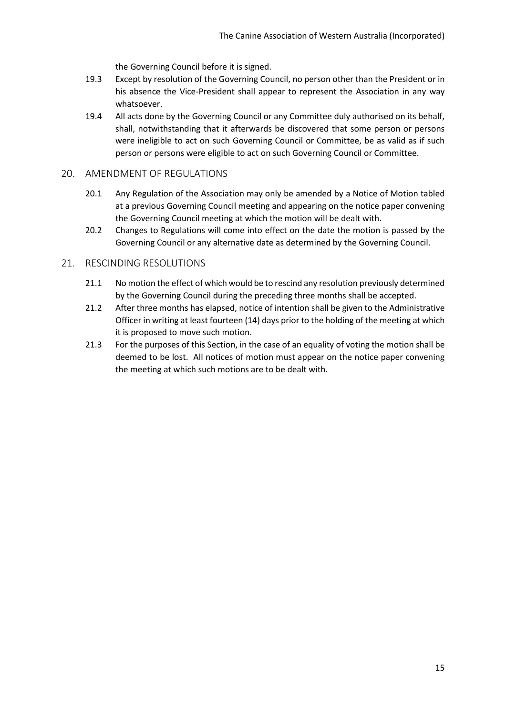the Governing Council before it is signed.

- 19.3 Except by resolution of the Governing Council, no person other than the President or in his absence the Vice-President shall appear to represent the Association in any way whatsoever.
- 19.4 All acts done by the Governing Council or any Committee duly authorised on its behalf, shall, notwithstanding that it afterwards be discovered that some person or persons were ineligible to act on such Governing Council or Committee, be as valid as if such person or persons were eligible to act on such Governing Council or Committee.

#### <span id="page-15-0"></span>20. AMENDMENT OF REGULATIONS

- 20.1 Any Regulation of the Association may only be amended by a Notice of Motion tabled at a previous Governing Council meeting and appearing on the notice paper convening the Governing Council meeting at which the motion will be dealt with.
- 20.2 Changes to Regulations will come into effect on the date the motion is passed by the Governing Council or any alternative date as determined by the Governing Council.

#### <span id="page-15-1"></span>21. RESCINDING RESOLUTIONS

- 21.1 No motion the effect of which would be to rescind any resolution previously determined by the Governing Council during the preceding three months shall be accepted.
- 21.2 After three months has elapsed, notice of intention shall be given to the Administrative Officer in writing at least fourteen (14) days prior to the holding of the meeting at which it is proposed to move such motion.
- 21.3 For the purposes of this Section, in the case of an equality of voting the motion shall be deemed to be lost. All notices of motion must appear on the notice paper convening the meeting at which such motions are to be dealt with.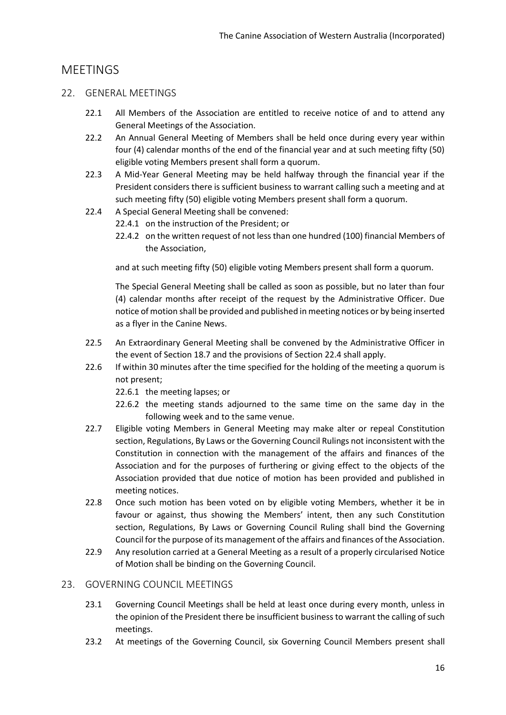# <span id="page-16-0"></span>**MFFTINGS**

#### <span id="page-16-1"></span>22. GENERAL MEETINGS

- 22.1 All Members of the Association are entitled to receive notice of and to attend any General Meetings of the Association.
- 22.2 An Annual General Meeting of Members shall be held once during every year within four (4) calendar months of the end of the financial year and at such meeting fifty (50) eligible voting Members present shall form a quorum.
- 22.3 A Mid-Year General Meeting may be held halfway through the financial year if the President considers there is sufficient business to warrant calling such a meeting and at such meeting fifty (50) eligible voting Members present shall form a quorum.
- 22.4 A Special General Meeting shall be convened:
	- 22.4.1 on the instruction of the President; or
	- 22.4.2 on the written request of not less than one hundred (100) financial Members of the Association,

and at such meeting fifty (50) eligible voting Members present shall form a quorum.

The Special General Meeting shall be called as soon as possible, but no later than four (4) calendar months after receipt of the request by the Administrative Officer. Due notice of motion shall be provided and published in meeting notices or by being inserted as a flyer in the Canine News.

- 22.5 An Extraordinary General Meeting shall be convened by the Administrative Officer in the event of Section 18.7 and the provisions of Section 22.4 shall apply.
- 22.6 If within 30 minutes after the time specified for the holding of the meeting a quorum is not present;
	- 22.6.1 the meeting lapses; or
	- 22.6.2 the meeting stands adjourned to the same time on the same day in the following week and to the same venue.
- 22.7 Eligible voting Members in General Meeting may make alter or repeal Constitution section, Regulations, By Laws or the Governing Council Rulings not inconsistent with the Constitution in connection with the management of the affairs and finances of the Association and for the purposes of furthering or giving effect to the objects of the Association provided that due notice of motion has been provided and published in meeting notices.
- 22.8 Once such motion has been voted on by eligible voting Members, whether it be in favour or against, thus showing the Members' intent, then any such Constitution section, Regulations, By Laws or Governing Council Ruling shall bind the Governing Council for the purpose of its management of the affairs and finances of the Association.
- 22.9 Any resolution carried at a General Meeting as a result of a properly circularised Notice of Motion shall be binding on the Governing Council.

#### <span id="page-16-2"></span>23. GOVERNING COUNCIL MEETINGS

- 23.1 Governing Council Meetings shall be held at least once during every month, unless in the opinion of the President there be insufficient business to warrant the calling of such meetings.
- 23.2 At meetings of the Governing Council, six Governing Council Members present shall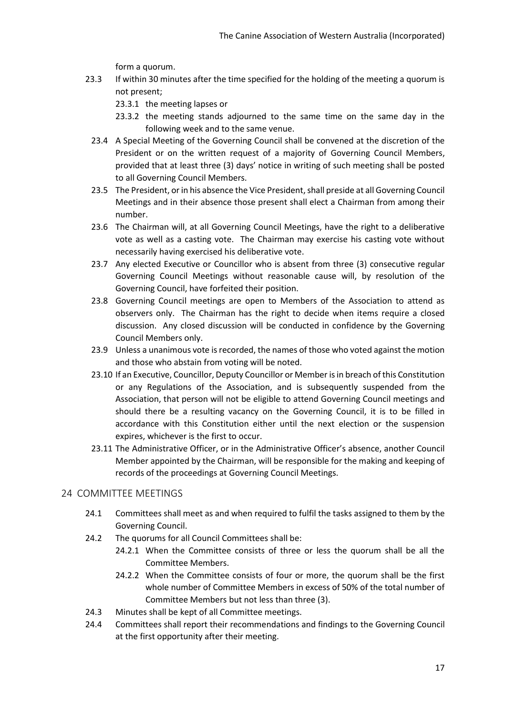form a quorum.

- 23.3 If within 30 minutes after the time specified for the holding of the meeting a quorum is not present;
	- 23.3.1 the meeting lapses or
	- 23.3.2 the meeting stands adjourned to the same time on the same day in the following week and to the same venue.
	- 23.4 A Special Meeting of the Governing Council shall be convened at the discretion of the President or on the written request of a majority of Governing Council Members, provided that at least three (3) days' notice in writing of such meeting shall be posted to all Governing Council Members.
	- 23.5 The President, or in his absence the Vice President, shall preside at all Governing Council Meetings and in their absence those present shall elect a Chairman from among their number.
	- 23.6 The Chairman will, at all Governing Council Meetings, have the right to a deliberative vote as well as a casting vote. The Chairman may exercise his casting vote without necessarily having exercised his deliberative vote.
	- 23.7 Any elected Executive or Councillor who is absent from three (3) consecutive regular Governing Council Meetings without reasonable cause will, by resolution of the Governing Council, have forfeited their position.
	- 23.8 Governing Council meetings are open to Members of the Association to attend as observers only. The Chairman has the right to decide when items require a closed discussion. Any closed discussion will be conducted in confidence by the Governing Council Members only.
	- 23.9 Unless a unanimous vote is recorded, the names of those who voted against the motion and those who abstain from voting will be noted.
	- 23.10 If an Executive, Councillor, Deputy Councillor or Member is in breach of this Constitution or any Regulations of the Association, and is subsequently suspended from the Association, that person will not be eligible to attend Governing Council meetings and should there be a resulting vacancy on the Governing Council, it is to be filled in accordance with this Constitution either until the next election or the suspension expires, whichever is the first to occur.
	- 23.11 The Administrative Officer, or in the Administrative Officer's absence, another Council Member appointed by the Chairman, will be responsible for the making and keeping of records of the proceedings at Governing Council Meetings.

# <span id="page-17-0"></span>24 COMMITTEE MEETINGS

- 24.1 Committees shall meet as and when required to fulfil the tasks assigned to them by the Governing Council.
- 24.2 The quorums for all Council Committees shall be:
	- 24.2.1 When the Committee consists of three or less the quorum shall be all the Committee Members.
	- 24.2.2 When the Committee consists of four or more, the quorum shall be the first whole number of Committee Members in excess of 50% of the total number of Committee Members but not less than three (3).
- 24.3 Minutes shall be kept of all Committee meetings.
- 24.4 Committees shall report their recommendations and findings to the Governing Council at the first opportunity after their meeting.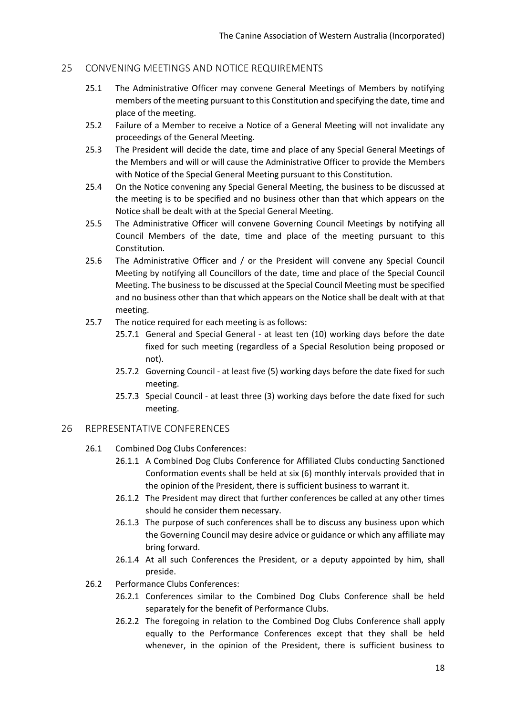#### <span id="page-18-0"></span>25 CONVENING MEETINGS AND NOTICE REQUIREMENTS

- 25.1 The Administrative Officer may convene General Meetings of Members by notifying members of the meeting pursuant to this Constitution and specifying the date, time and place of the meeting.
- 25.2 Failure of a Member to receive a Notice of a General Meeting will not invalidate any proceedings of the General Meeting.
- 25.3 The President will decide the date, time and place of any Special General Meetings of the Members and will or will cause the Administrative Officer to provide the Members with Notice of the Special General Meeting pursuant to this Constitution.
- 25.4 On the Notice convening any Special General Meeting, the business to be discussed at the meeting is to be specified and no business other than that which appears on the Notice shall be dealt with at the Special General Meeting.
- 25.5 The Administrative Officer will convene Governing Council Meetings by notifying all Council Members of the date, time and place of the meeting pursuant to this Constitution.
- 25.6 The Administrative Officer and / or the President will convene any Special Council Meeting by notifying all Councillors of the date, time and place of the Special Council Meeting. The business to be discussed at the Special Council Meeting must be specified and no business other than that which appears on the Notice shall be dealt with at that meeting.
- 25.7 The notice required for each meeting is as follows:
	- 25.7.1 General and Special General at least ten (10) working days before the date fixed for such meeting (regardless of a Special Resolution being proposed or not).
	- 25.7.2 Governing Council at least five (5) working days before the date fixed for such meeting.
	- 25.7.3 Special Council at least three (3) working days before the date fixed for such meeting.

#### <span id="page-18-1"></span>26 REPRESENTATIVE CONFERENCES

- 26.1 Combined Dog Clubs Conferences:
	- 26.1.1 A Combined Dog Clubs Conference for Affiliated Clubs conducting Sanctioned Conformation events shall be held at six (6) monthly intervals provided that in the opinion of the President, there is sufficient business to warrant it.
	- 26.1.2 The President may direct that further conferences be called at any other times should he consider them necessary.
	- 26.1.3 The purpose of such conferences shall be to discuss any business upon which the Governing Council may desire advice or guidance or which any affiliate may bring forward.
	- 26.1.4 At all such Conferences the President, or a deputy appointed by him, shall preside.
- 26.2 Performance Clubs Conferences:
	- 26.2.1 Conferences similar to the Combined Dog Clubs Conference shall be held separately for the benefit of Performance Clubs.
	- 26.2.2 The foregoing in relation to the Combined Dog Clubs Conference shall apply equally to the Performance Conferences except that they shall be held whenever, in the opinion of the President, there is sufficient business to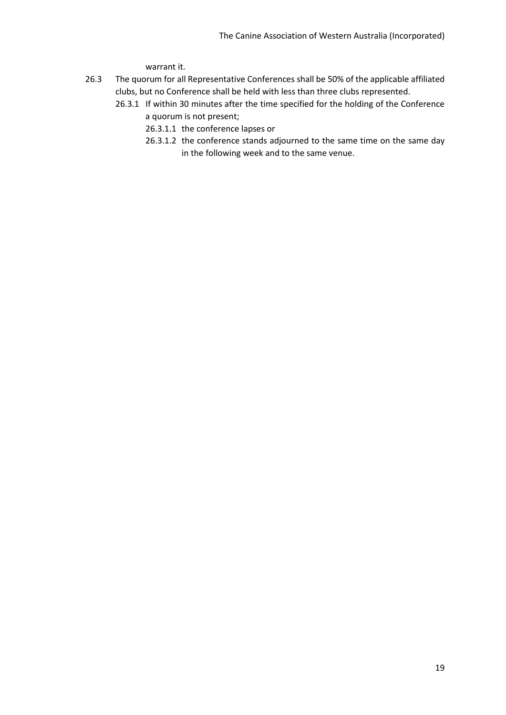warrant it.

- 26.3 The quorum for all Representative Conferences shall be 50% of the applicable affiliated clubs, but no Conference shall be held with less than three clubs represented.
	- 26.3.1 If within 30 minutes after the time specified for the holding of the Conference a quorum is not present;
		- 26.3.1.1 the conference lapses or
		- 26.3.1.2 the conference stands adjourned to the same time on the same day in the following week and to the same venue.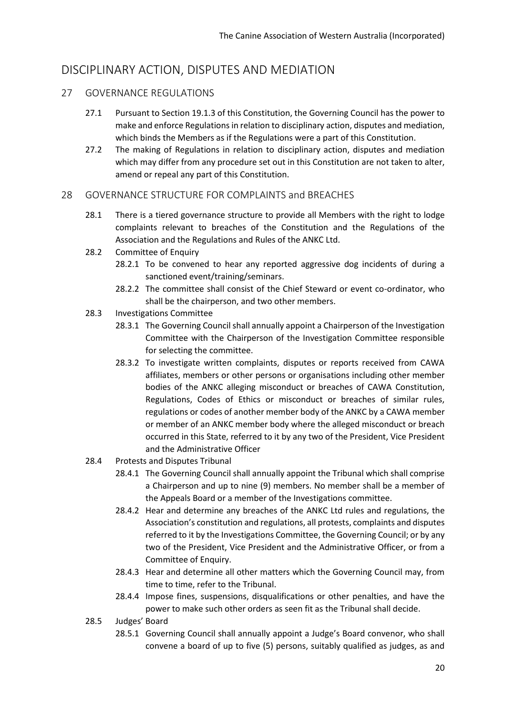# <span id="page-20-0"></span>DISCIPLINARY ACTION, DISPUTES AND MEDIATION

# <span id="page-20-1"></span>27 GOVERNANCE REGULATIONS

- 27.1 Pursuant to Section 19.1.3 of this Constitution, the Governing Council has the power to make and enforce Regulations in relation to disciplinary action, disputes and mediation, which binds the Members as if the Regulations were a part of this Constitution.
- 27.2 The making of Regulations in relation to disciplinary action, disputes and mediation which may differ from any procedure set out in this Constitution are not taken to alter, amend or repeal any part of this Constitution.

## <span id="page-20-2"></span>28 GOVERNANCE STRUCTURE FOR COMPLAINTS and BREACHES

- 28.1 There is a tiered governance structure to provide all Members with the right to lodge complaints relevant to breaches of the Constitution and the Regulations of the Association and the Regulations and Rules of the ANKC Ltd.
- 28.2 Committee of Enquiry
	- 28.2.1 To be convened to hear any reported aggressive dog incidents of during a sanctioned event/training/seminars.
	- 28.2.2 The committee shall consist of the Chief Steward or event co-ordinator, who shall be the chairperson, and two other members.
- 28.3 Investigations Committee
	- 28.3.1 The Governing Council shall annually appoint a Chairperson of the Investigation Committee with the Chairperson of the Investigation Committee responsible for selecting the committee.
	- 28.3.2 To investigate written complaints, disputes or reports received from CAWA affiliates, members or other persons or organisations including other member bodies of the ANKC alleging misconduct or breaches of CAWA Constitution, Regulations, Codes of Ethics or misconduct or breaches of similar rules, regulations or codes of another member body of the ANKC by a CAWA member or member of an ANKC member body where the alleged misconduct or breach occurred in this State, referred to it by any two of the President, Vice President and the Administrative Officer
- 28.4 Protests and Disputes Tribunal
	- 28.4.1 The Governing Council shall annually appoint the Tribunal which shall comprise a Chairperson and up to nine (9) members. No member shall be a member of the Appeals Board or a member of the Investigations committee.
	- 28.4.2 Hear and determine any breaches of the ANKC Ltd rules and regulations, the Association's constitution and regulations, all protests, complaints and disputes referred to it by the Investigations Committee, the Governing Council; or by any two of the President, Vice President and the Administrative Officer, or from a Committee of Enquiry.
	- 28.4.3 Hear and determine all other matters which the Governing Council may, from time to time, refer to the Tribunal.
	- 28.4.4 Impose fines, suspensions, disqualifications or other penalties, and have the power to make such other orders as seen fit as the Tribunal shall decide.
- 28.5 Judges' Board
	- 28.5.1 Governing Council shall annually appoint a Judge's Board convenor, who shall convene a board of up to five (5) persons, suitably qualified as judges, as and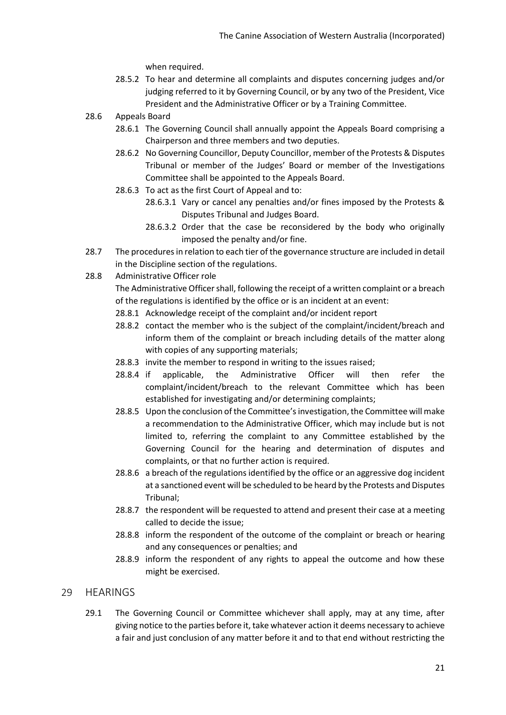when required.

- 28.5.2 To hear and determine all complaints and disputes concerning judges and/or judging referred to it by Governing Council, or by any two of the President, Vice President and the Administrative Officer or by a Training Committee.
- 28.6 Appeals Board
	- 28.6.1 The Governing Council shall annually appoint the Appeals Board comprising a Chairperson and three members and two deputies.
	- 28.6.2 No Governing Councillor, Deputy Councillor, member of the Protests & Disputes Tribunal or member of the Judges' Board or member of the Investigations Committee shall be appointed to the Appeals Board.
	- 28.6.3 To act as the first Court of Appeal and to:
		- 28.6.3.1 Vary or cancel any penalties and/or fines imposed by the Protests & Disputes Tribunal and Judges Board.
		- 28.6.3.2 Order that the case be reconsidered by the body who originally imposed the penalty and/or fine.
- 28.7 The procedures in relation to each tier of the governance structure are included in detail in the Discipline section of the regulations.
- 28.8 Administrative Officer role

The Administrative Officer shall, following the receipt of a written complaint or a breach of the regulations is identified by the office or is an incident at an event:

- 28.8.1 Acknowledge receipt of the complaint and/or incident report
- 28.8.2 contact the member who is the subject of the complaint/incident/breach and inform them of the complaint or breach including details of the matter along with copies of any supporting materials;
- 28.8.3 invite the member to respond in writing to the issues raised;
- 28.8.4 if applicable, the Administrative Officer will then refer the complaint/incident/breach to the relevant Committee which has been established for investigating and/or determining complaints;
- 28.8.5 Upon the conclusion of the Committee's investigation, the Committee will make a recommendation to the Administrative Officer, which may include but is not limited to, referring the complaint to any Committee established by the Governing Council for the hearing and determination of disputes and complaints, or that no further action is required.
- 28.8.6 a breach of the regulations identified by the office or an aggressive dog incident at a sanctioned event will be scheduled to be heard by the Protests and Disputes Tribunal;
- 28.8.7 the respondent will be requested to attend and present their case at a meeting called to decide the issue;
- 28.8.8 inform the respondent of the outcome of the complaint or breach or hearing and any consequences or penalties; and
- 28.8.9 inform the respondent of any rights to appeal the outcome and how these might be exercised.
- <span id="page-21-0"></span>29 HEARINGS
	- 29.1 The Governing Council or Committee whichever shall apply, may at any time, after giving notice to the parties before it, take whatever action it deems necessary to achieve a fair and just conclusion of any matter before it and to that end without restricting the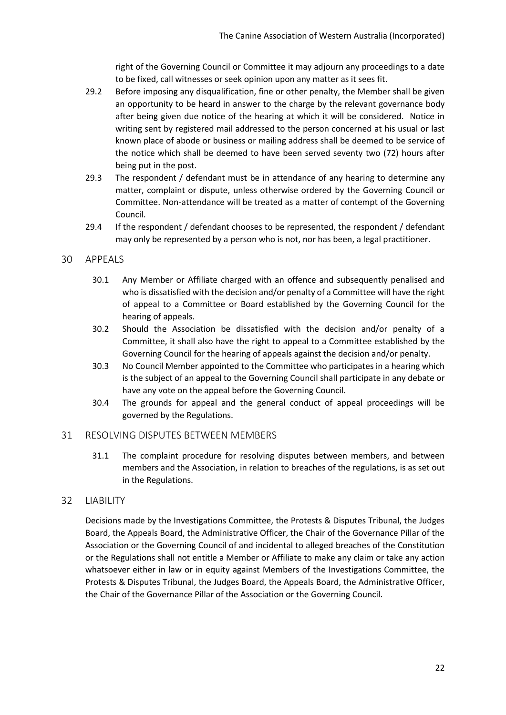right of the Governing Council or Committee it may adjourn any proceedings to a date to be fixed, call witnesses or seek opinion upon any matter as it sees fit.

- 29.2 Before imposing any disqualification, fine or other penalty, the Member shall be given an opportunity to be heard in answer to the charge by the relevant governance body after being given due notice of the hearing at which it will be considered. Notice in writing sent by registered mail addressed to the person concerned at his usual or last known place of abode or business or mailing address shall be deemed to be service of the notice which shall be deemed to have been served seventy two (72) hours after being put in the post.
- 29.3 The respondent / defendant must be in attendance of any hearing to determine any matter, complaint or dispute, unless otherwise ordered by the Governing Council or Committee. Non-attendance will be treated as a matter of contempt of the Governing Council.
- 29.4 If the respondent / defendant chooses to be represented, the respondent / defendant may only be represented by a person who is not, nor has been, a legal practitioner.

#### <span id="page-22-0"></span>30 APPEALS

- 30.1 Any Member or Affiliate charged with an offence and subsequently penalised and who is dissatisfied with the decision and/or penalty of a Committee will have the right of appeal to a Committee or Board established by the Governing Council for the hearing of appeals.
- 30.2 Should the Association be dissatisfied with the decision and/or penalty of a Committee, it shall also have the right to appeal to a Committee established by the Governing Council for the hearing of appeals against the decision and/or penalty.
- 30.3 No Council Member appointed to the Committee who participates in a hearing which is the subject of an appeal to the Governing Council shall participate in any debate or have any vote on the appeal before the Governing Council.
- 30.4 The grounds for appeal and the general conduct of appeal proceedings will be governed by the Regulations.

#### <span id="page-22-1"></span>31 RESOLVING DISPUTES BETWEEN MEMBERS

31.1 The complaint procedure for resolving disputes between members, and between members and the Association, in relation to breaches of the regulations, is as set out in the Regulations.

#### <span id="page-22-2"></span>32 LIABILITY

Decisions made by the Investigations Committee, the Protests & Disputes Tribunal, the Judges Board, the Appeals Board, the Administrative Officer, the Chair of the Governance Pillar of the Association or the Governing Council of and incidental to alleged breaches of the Constitution or the Regulations shall not entitle a Member or Affiliate to make any claim or take any action whatsoever either in law or in equity against Members of the Investigations Committee, the Protests & Disputes Tribunal, the Judges Board, the Appeals Board, the Administrative Officer, the Chair of the Governance Pillar of the Association or the Governing Council.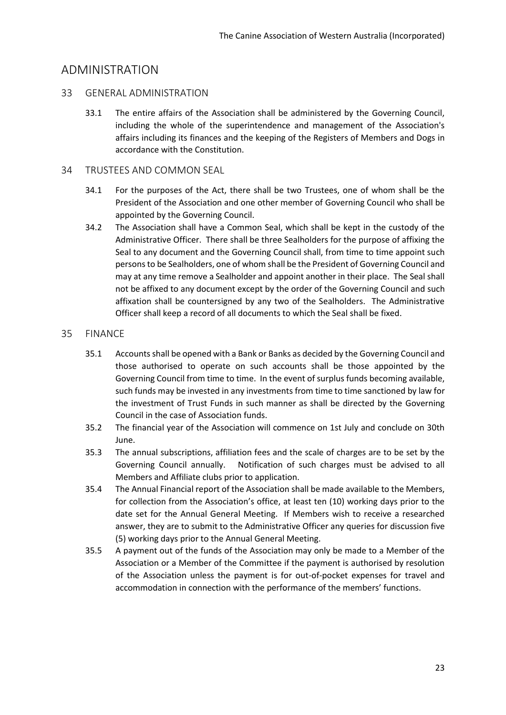# <span id="page-23-0"></span>ADMINISTRATION

#### <span id="page-23-1"></span>33 GENERAL ADMINISTRATION

33.1 The entire affairs of the Association shall be administered by the Governing Council, including the whole of the superintendence and management of the Association's affairs including its finances and the keeping of the Registers of Members and Dogs in accordance with the Constitution.

# <span id="page-23-2"></span>34 TRUSTEES AND COMMON SEAL

- 34.1 For the purposes of the Act, there shall be two Trustees, one of whom shall be the President of the Association and one other member of Governing Council who shall be appointed by the Governing Council.
- 34.2 The Association shall have a Common Seal, which shall be kept in the custody of the Administrative Officer. There shall be three Sealholders for the purpose of affixing the Seal to any document and the Governing Council shall, from time to time appoint such persons to be Sealholders, one of whom shall be the President of Governing Council and may at any time remove a Sealholder and appoint another in their place. The Seal shall not be affixed to any document except by the order of the Governing Council and such affixation shall be countersigned by any two of the Sealholders. The Administrative Officer shall keep a record of all documents to which the Seal shall be fixed.

## <span id="page-23-3"></span>35 FINANCE

- 35.1 Accounts shall be opened with a Bank or Banks as decided by the Governing Council and those authorised to operate on such accounts shall be those appointed by the Governing Council from time to time. In the event of surplus funds becoming available, such funds may be invested in any investments from time to time sanctioned by law for the investment of Trust Funds in such manner as shall be directed by the Governing Council in the case of Association funds.
- 35.2 The financial year of the Association will commence on 1st July and conclude on 30th June.
- 35.3 The annual subscriptions, affiliation fees and the scale of charges are to be set by the Governing Council annually. Notification of such charges must be advised to all Members and Affiliate clubs prior to application.
- 35.4 The Annual Financial report of the Association shall be made available to the Members, for collection from the Association's office, at least ten (10) working days prior to the date set for the Annual General Meeting. If Members wish to receive a researched answer, they are to submit to the Administrative Officer any queries for discussion five (5) working days prior to the Annual General Meeting.
- 35.5 A payment out of the funds of the Association may only be made to a Member of the Association or a Member of the Committee if the payment is authorised by resolution of the Association unless the payment is for out-of-pocket expenses for travel and accommodation in connection with the performance of the members' functions.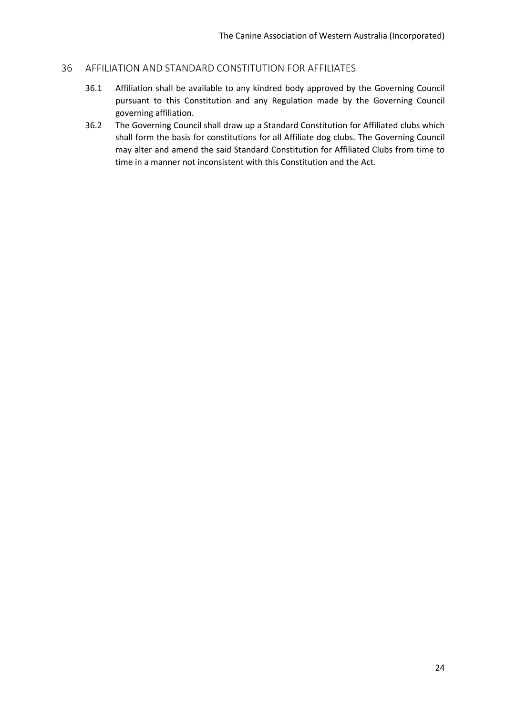#### <span id="page-24-0"></span>36 AFFILIATION AND STANDARD CONSTITUTION FOR AFFILIATES

- 36.1 Affiliation shall be available to any kindred body approved by the Governing Council pursuant to this Constitution and any Regulation made by the Governing Council governing affiliation.
- 36.2 The Governing Council shall draw up a Standard Constitution for Affiliated clubs which shall form the basis for constitutions for all Affiliate dog clubs. The Governing Council may alter and amend the said Standard Constitution for Affiliated Clubs from time to time in a manner not inconsistent with this Constitution and the Act.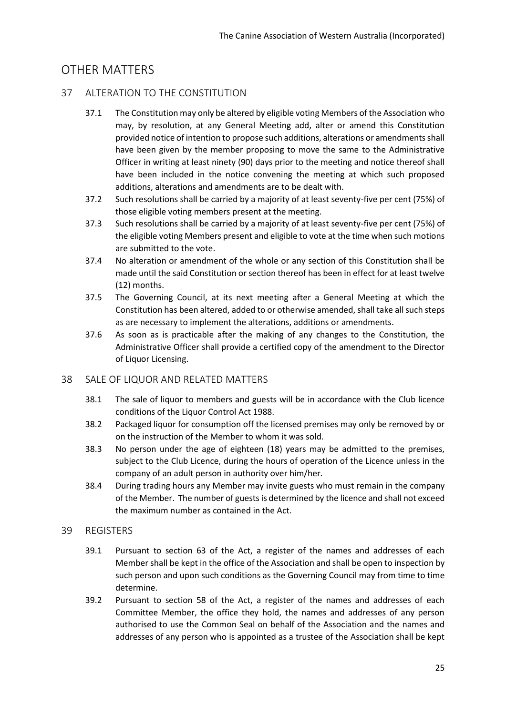# <span id="page-25-0"></span>OTHER MATTERS

## <span id="page-25-1"></span>37 ALTERATION TO THE CONSTITUTION

- 37.1 The Constitution may only be altered by eligible voting Members of the Association who may, by resolution, at any General Meeting add, alter or amend this Constitution provided notice of intention to propose such additions, alterations or amendments shall have been given by the member proposing to move the same to the Administrative Officer in writing at least ninety (90) days prior to the meeting and notice thereof shall have been included in the notice convening the meeting at which such proposed additions, alterations and amendments are to be dealt with.
- 37.2 Such resolutions shall be carried by a majority of at least seventy-five per cent (75%) of those eligible voting members present at the meeting.
- 37.3 Such resolutions shall be carried by a majority of at least seventy-five per cent (75%) of the eligible voting Members present and eligible to vote at the time when such motions are submitted to the vote.
- 37.4 No alteration or amendment of the whole or any section of this Constitution shall be made until the said Constitution or section thereof has been in effect for at least twelve (12) months.
- 37.5 The Governing Council, at its next meeting after a General Meeting at which the Constitution has been altered, added to or otherwise amended, shall take all such steps as are necessary to implement the alterations, additions or amendments.
- 37.6 As soon as is practicable after the making of any changes to the Constitution, the Administrative Officer shall provide a certified copy of the amendment to the Director of Liquor Licensing.

# <span id="page-25-2"></span>38 SALE OF LIQUOR AND RELATED MATTERS

- 38.1 The sale of liquor to members and guests will be in accordance with the Club licence conditions of the Liquor Control Act 1988.
- 38.2 Packaged liquor for consumption off the licensed premises may only be removed by or on the instruction of the Member to whom it was sold.
- 38.3 No person under the age of eighteen (18) years may be admitted to the premises, subject to the Club Licence, during the hours of operation of the Licence unless in the company of an adult person in authority over him/her.
- 38.4 During trading hours any Member may invite guests who must remain in the company of the Member. The number of guests is determined by the licence and shall not exceed the maximum number as contained in the Act.

#### <span id="page-25-3"></span>39 REGISTERS

- 39.1 Pursuant to section 63 of the Act, a register of the names and addresses of each Member shall be kept in the office of the Association and shall be open to inspection by such person and upon such conditions as the Governing Council may from time to time determine.
- 39.2 Pursuant to section 58 of the Act, a register of the names and addresses of each Committee Member, the office they hold, the names and addresses of any person authorised to use the Common Seal on behalf of the Association and the names and addresses of any person who is appointed as a trustee of the Association shall be kept